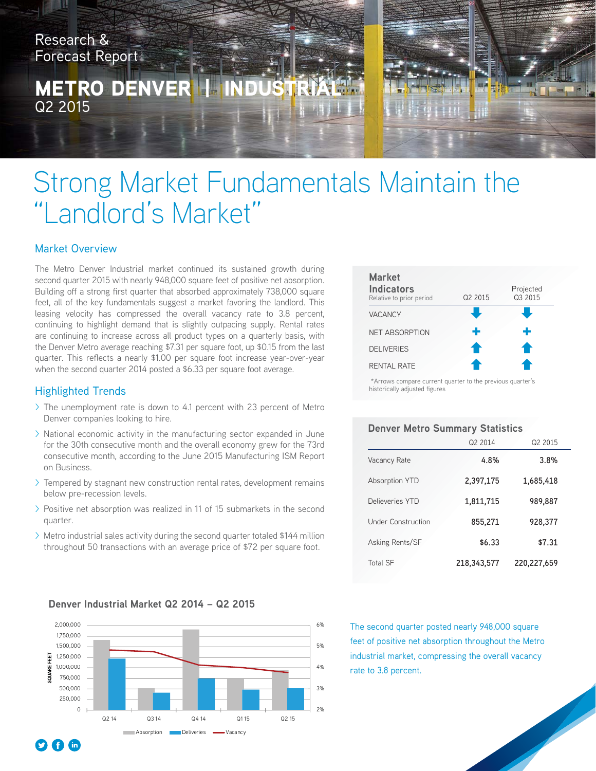Research & Forecast Report

**METRO DENVI** Q2 2015



# Strong Market Fundamentals Maintain the "Landlord's Market"

### Market Overview

The Metro Denver Industrial market continued its sustained growth during second quarter 2015 with nearly 948,000 square feet of positive net absorption. Building off a strong first quarter that absorbed approximately 738,000 square feet, all of the key fundamentals suggest a market favoring the landlord. This leasing velocity has compressed the overall vacancy rate to 3.8 percent, continuing to highlight demand that is slightly outpacing supply. Rental rates are continuing to increase across all product types on a quarterly basis, with the Denver Metro average reaching \$7.31 per square foot, up \$0.15 from the last quarter. This reflects a nearly \$1.00 per square foot increase year-over-year when the second quarter 2014 posted a \$6.33 per square foot average.

### Highlighted Trends

- > The unemployment rate is down to 4.1 percent with 23 percent of Metro Denver companies looking to hire.
- > National economic activity in the manufacturing sector expanded in June for the 30th consecutive month and the overall economy grew for the 73rd consecutive month, according to the June 2015 Manufacturing ISM Report on Business.
- > Tempered by stagnant new construction rental rates, development remains below pre-recession levels.
- > Positive net absorption was realized in 11 of 15 submarkets in the second quarter.
- > Metro industrial sales activity during the second quarter totaled \$144 million throughout 50 transactions with an average price of \$72 per square foot.



 \*Arrows compare current quarter to the previous quarter's historically adjusted figures

#### **Denver Metro Summary Statistics**

|                    | Q2 2014     | Q <sub>2</sub> 2015 |
|--------------------|-------------|---------------------|
| Vacancy Rate       | 4.8%        | 3.8%                |
| Absorption YTD     | 2,397,175   | 1,685,418           |
| Delieveries YTD    | 1,811,715   | 989,887             |
| Under Construction | 855,271     | 928,377             |
| Asking Rents/SF    | \$6.33      | \$7.31              |
| <b>Total SF</b>    | 218,343,577 | 220,227,659         |



The second quarter posted nearly 948,000 square feet of positive net absorption throughout the Metro industrial market, compressing the overall vacancy rate to 3.8 percent.

#### **Denver Industrial Market Q2 2014 – Q2 2015**

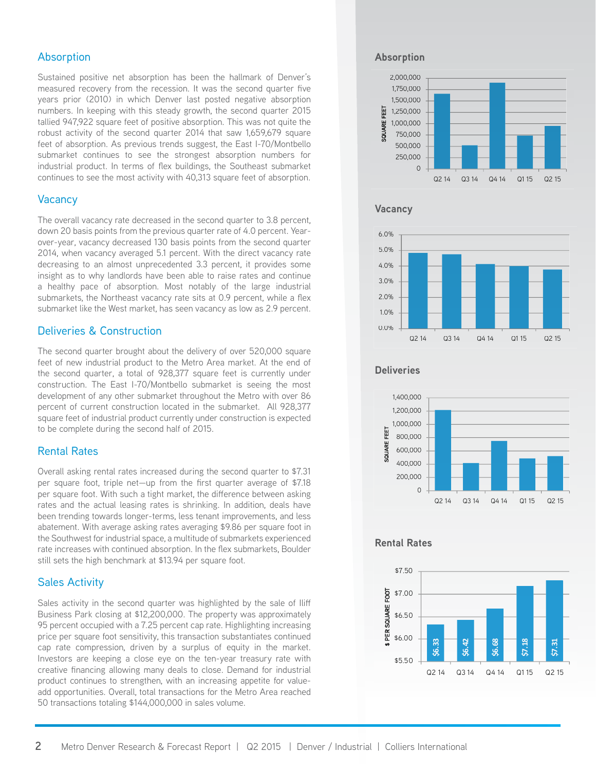#### Absorption

Sustained positive net absorption has been the hallmark of Denver's measured recovery from the recession. It was the second quarter five years prior (2010) in which Denver last posted negative absorption numbers. In keeping with this steady growth, the second quarter 2015 tallied 947,922 square feet of positive absorption. This was not quite the robust activity of the second quarter 2014 that saw 1,659,679 square feet of absorption. As previous trends suggest, the East I-70/Montbello submarket continues to see the strongest absorption numbers for industrial product. In terms of flex buildings, the Southeast submarket continues to see the most activity with 40,313 square feet of absorption.

#### Vacancy

The overall vacancy rate decreased in the second quarter to 3.8 percent, down 20 basis points from the previous quarter rate of 4.0 percent. Yearover-year, vacancy decreased 130 basis points from the second quarter 2014, when vacancy averaged 5.1 percent. With the direct vacancy rate decreasing to an almost unprecedented 3.3 percent, it provides some insight as to why landlords have been able to raise rates and continue a healthy pace of absorption. Most notably of the large industrial submarkets, the Northeast vacancy rate sits at 0.9 percent, while a flex submarket like the West market, has seen vacancy as low as 2.9 percent.

#### Deliveries & Construction

The second quarter brought about the delivery of over 520,000 square feet of new industrial product to the Metro Area market. At the end of the second quarter, a total of 928,377 square feet is currently under construction. The East I-70/Montbello submarket is seeing the most development of any other submarket throughout the Metro with over 86 percent of current construction located in the submarket. All 928,377 square feet of industrial product currently under construction is expected to be complete during the second half of 2015.

#### Rental Rates

Overall asking rental rates increased during the second quarter to \$7.31 per square foot, triple net—up from the first quarter average of \$7.18 per square foot. With such a tight market, the difference between asking rates and the actual leasing rates is shrinking. In addition, deals have been trending towards longer-terms, less tenant improvements, and less abatement. With average asking rates averaging \$9.86 per square foot in the Southwest for industrial space, a multitude of submarkets experienced rate increases with continued absorption. In the flex submarkets, Boulder still sets the high benchmark at \$13.94 per square foot.

#### Sales Activity

Sales activity in the second quarter was highlighted by the sale of Iliff Business Park closing at \$12,200,000. The property was approximately 95 percent occupied with a 7.25 percent cap rate. Highlighting increasing price per square foot sensitivity, this transaction substantiates continued cap rate compression, driven by a surplus of equity in the market. Investors are keeping a close eye on the ten-year treasury rate with creative financing allowing many deals to close. Demand for industrial product continues to strengthen, with an increasing appetite for valueadd opportunities. Overall, total transactions for the Metro Area reached 50 transactions totaling \$144,000,000 in sales volume.

#### **Absorption**



#### **Vacancy**



#### **Deliveries**



#### **Rental Rates**

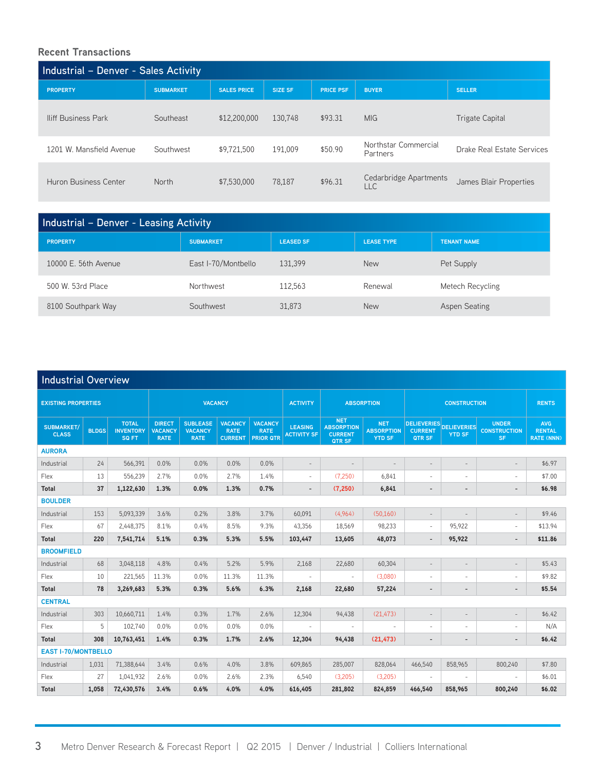## **Recent Transactions**

| Industrial - Denver - Sales Activity |                  |                    |                |                  |                                      |                            |  |  |  |  |  |
|--------------------------------------|------------------|--------------------|----------------|------------------|--------------------------------------|----------------------------|--|--|--|--|--|
| <b>PROPERTY</b>                      | <b>SUBMARKET</b> | <b>SALES PRICE</b> | <b>SIZE SF</b> | <b>PRICE PSF</b> | <b>BUYER</b>                         | <b>SELLER</b>              |  |  |  |  |  |
| <b>Iliff Business Park</b>           | Southeast        | \$12,200,000       | 130,748        | \$93.31          | <b>MIG</b>                           | <b>Trigate Capital</b>     |  |  |  |  |  |
| 1201 W. Mansfield Avenue             | Southwest        | \$9,721,500        | 191,009        | \$50.90          | Northstar Commercial<br>Partners     | Drake Real Estate Services |  |  |  |  |  |
| Huron Business Center                | <b>North</b>     | \$7,530,000        | 78,187         | \$96.31          | Cedarbridge Apartments<br><b>LLC</b> | James Blair Properties     |  |  |  |  |  |

| <b>Industrial - Denver - Leasing Activity</b> |                     |                  |                   |                      |  |  |  |  |  |  |
|-----------------------------------------------|---------------------|------------------|-------------------|----------------------|--|--|--|--|--|--|
| <b>PROPERTY</b>                               | <b>SUBMARKET</b>    | <b>LEASED SF</b> | <b>LEASE TYPE</b> | <b>TENANT NAME</b>   |  |  |  |  |  |  |
| 10000 E. 56th Avenue                          | East I-70/Montbello | 131.399          | <b>New</b>        | Pet Supply           |  |  |  |  |  |  |
| 500 W. 53rd Place                             | Northwest           | 112,563          | Renewal           | Metech Recycling     |  |  |  |  |  |  |
| 8100 Southpark Way                            | Southwest           | 31.873           | <b>New</b>        | <b>Aspen Seating</b> |  |  |  |  |  |  |

| <b>Industrial Overview</b> |              |                                                  |                                                |                                                  |                                                 |                                                   |                                      |                                                             |                                                  |                                                |                                     |                                                  |                                                  |
|----------------------------|--------------|--------------------------------------------------|------------------------------------------------|--------------------------------------------------|-------------------------------------------------|---------------------------------------------------|--------------------------------------|-------------------------------------------------------------|--------------------------------------------------|------------------------------------------------|-------------------------------------|--------------------------------------------------|--------------------------------------------------|
| <b>EXISTING PROPERTIES</b> |              |                                                  | <b>VACANCY</b>                                 |                                                  |                                                 |                                                   | <b>ACTIVITY</b>                      | <b>ABSORPTION</b>                                           |                                                  | <b>CONSTRUCTION</b>                            |                                     |                                                  | <b>RENTS</b>                                     |
| SUBMARKET/<br><b>CLASS</b> | <b>BLDGS</b> | <b>TOTAL</b><br><b>INVENTORY</b><br><b>SQ FT</b> | <b>DIRECT</b><br><b>VACANCY</b><br><b>RATE</b> | <b>SUBLEASE</b><br><b>VACANCY</b><br><b>RATE</b> | <b>VACANCY</b><br><b>RATE</b><br><b>CURRENT</b> | <b>VACANCY</b><br><b>RATE</b><br><b>PRIOR QTR</b> | <b>LEASING</b><br><b>ACTIVITY SF</b> | <b>NET</b><br><b>ABSORPTION</b><br><b>CURRENT</b><br>QTR SF | <b>NET</b><br><b>ABSORPTION</b><br><b>YTD SF</b> | <b>DELIEVERIES</b><br><b>CURRENT</b><br>QTR SF | <b>DELIEVERIES</b><br><b>YTD SF</b> | <b>UNDER</b><br><b>CONSTRUCTION</b><br><b>SF</b> | <b>AVG</b><br><b>RENTAL</b><br><b>RATE (NNN)</b> |
| <b>AURORA</b>              |              |                                                  |                                                |                                                  |                                                 |                                                   |                                      |                                                             |                                                  |                                                |                                     |                                                  |                                                  |
| Industrial                 | 24           | 566,391                                          | 0.0%                                           | 0.0%                                             | 0.0%                                            | 0.0%                                              | $\overline{\phantom{a}}$             | $\overline{\phantom{a}}$                                    | $\overline{\phantom{a}}$                         | $\qquad \qquad -$                              | $\overline{\phantom{a}}$            | $\overline{a}$                                   | \$6.97                                           |
| Flex                       | 13           | 556,239                                          | 2.7%                                           | 0.0%                                             | 2.7%                                            | 1.4%                                              | $\overline{\phantom{a}}$             | (7,250)                                                     | 6,841                                            | $\overline{\phantom{a}}$                       | $\overline{\phantom{a}}$            | ٠                                                | \$7.00                                           |
| <b>Total</b>               | 37           | 1,122,630                                        | 1.3%                                           | 0.0%                                             | 1.3%                                            | 0.7%                                              | $\overline{\phantom{a}}$             | (7,250)                                                     | 6,841                                            | $\overline{\phantom{m}}$                       | ٠                                   | $\overline{a}$                                   | \$6.98                                           |
| <b>BOULDER</b>             |              |                                                  |                                                |                                                  |                                                 |                                                   |                                      |                                                             |                                                  |                                                |                                     |                                                  |                                                  |
| Industrial                 | 153          | 5,093,339                                        | 3.6%                                           | 0.2%                                             | 3.8%                                            | 3.7%                                              | 60.091                               | (4.964)                                                     | (50.160)                                         | $\overline{\phantom{a}}$                       | $\overline{\phantom{a}}$            | $\qquad \qquad =$                                | \$9.46                                           |
| Flex                       | 67           | 2,448,375                                        | 8.1%                                           | 0.4%                                             | 8.5%                                            | 9.3%                                              | 43,356                               | 18,569                                                      | 98,233                                           | $\overline{\phantom{a}}$                       | 95,922                              | ۰                                                | \$13.94                                          |
| Total                      | 220          | 7,541,714                                        | 5.1%                                           | 0.3%                                             | 5.3%                                            | 5.5%                                              | 103,447                              | 13,605                                                      | 48,073                                           | $\overline{\phantom{a}}$                       | 95,922                              | $\overline{\phantom{a}}$                         | \$11.86                                          |
| <b>BROOMFIELD</b>          |              |                                                  |                                                |                                                  |                                                 |                                                   |                                      |                                                             |                                                  |                                                |                                     |                                                  |                                                  |
| Industrial                 | 68           | 3,048,118                                        | 4.8%                                           | 0.4%                                             | 5.2%                                            | 5.9%                                              | 2,168                                | 22,680                                                      | 60,304                                           | $\overline{a}$                                 | $\overline{\phantom{a}}$            |                                                  | \$5.43                                           |
| Flex                       | 10           | 221,565                                          | 11.3%                                          | 0.0%                                             | 11.3%                                           | 11.3%                                             | $\overline{\phantom{a}}$             | $\sim$                                                      | (3,080)                                          | $\bar{ }$                                      | $\overline{\phantom{a}}$            | i,                                               | \$9.82                                           |
| <b>Total</b>               | 78           | 3,269,683                                        | 5.3%                                           | 0.3%                                             | 5.6%                                            | 6.3%                                              | 2,168                                | 22,680                                                      | 57,224                                           | $\overline{\phantom{a}}$                       | $\overline{\phantom{a}}$            | -                                                | \$5.54                                           |
| <b>CENTRAL</b>             |              |                                                  |                                                |                                                  |                                                 |                                                   |                                      |                                                             |                                                  |                                                |                                     |                                                  |                                                  |
| Industrial                 | 303          | 10,660,711                                       | 1.4%                                           | 0.3%                                             | 1.7%                                            | 2.6%                                              | 12,304                               | 94,438                                                      | (21, 473)                                        | $\qquad \qquad -$                              | $\qquad \qquad -$                   | $\overline{\phantom{a}}$                         | \$6.42                                           |
| Flex                       | 5            | 102,740                                          | 0.0%                                           | 0.0%                                             | 0.0%                                            | 0.0%                                              | $\sim$                               | $\sim$                                                      | $\sim$                                           | $\overline{\phantom{a}}$                       | $\sim$                              | ٠                                                | N/A                                              |
| <b>Total</b>               | 308          | 10,763,451                                       | 1.4%                                           | 0.3%                                             | 1.7%                                            | 2.6%                                              | 12,304                               | 94,438                                                      | (21, 473)                                        | $\overline{\phantom{a}}$                       | $\overline{\phantom{a}}$            | $\overline{\phantom{0}}$                         | \$6.42                                           |
| <b>EAST I-70/MONTBELLO</b> |              |                                                  |                                                |                                                  |                                                 |                                                   |                                      |                                                             |                                                  |                                                |                                     |                                                  |                                                  |
| Industrial                 | 1,031        | 71,388,644                                       | 3.4%                                           | 0.6%                                             | 4.0%                                            | 3.8%                                              | 609.865                              | 285,007                                                     | 828,064                                          | 466,540                                        | 858,965                             | 800,240                                          | \$7.80                                           |
| Flex                       | 27           | 1,041,932                                        | 2.6%                                           | 0.0%                                             | 2.6%                                            | 2.3%                                              | 6,540                                | (3,205)                                                     | (3.205)                                          | $\sim$                                         | $\sim$                              | $\sim$                                           | \$6.01                                           |
| <b>Total</b>               | 1,058        | 72,430,576                                       | 3.4%                                           | 0.6%                                             | 4.0%                                            | 4.0%                                              | 616,405                              | 281,802                                                     | 824,859                                          | 466,540                                        | 858,965                             | 800,240                                          | \$6.02                                           |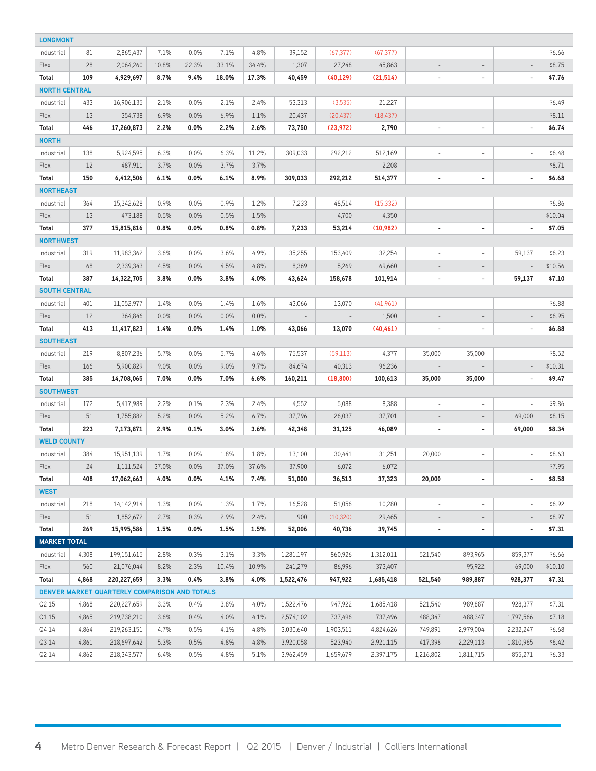| <b>LONGMONT</b>                               |       |             |       |       |       |       |                          |           |           |                          |                          |                          |         |
|-----------------------------------------------|-------|-------------|-------|-------|-------|-------|--------------------------|-----------|-----------|--------------------------|--------------------------|--------------------------|---------|
| Industrial                                    | 81    | 2,865,437   | 7.1%  | 0.0%  | 7.1%  | 4.8%  | 39,152                   | (67, 377) | (67, 377) | $\frac{1}{2}$            |                          |                          | \$6.66  |
| Flex                                          | 28    | 2,064,260   | 10.8% | 22.3% | 33.1% | 34.4% | 1,307                    | 27,248    | 45,863    | $\overline{\phantom{a}}$ | $\overline{\phantom{a}}$ | $\overline{\phantom{a}}$ | \$8.75  |
| Total                                         | 109   | 4,929,697   | 8.7%  | 9.4%  | 18.0% | 17.3% | 40,459                   | (40, 129) | (21, 514) | $\blacksquare$           | $\overline{\phantom{a}}$ | $\overline{\phantom{a}}$ | \$7.76  |
| <b>NORTH CENTRAL</b>                          |       |             |       |       |       |       |                          |           |           |                          |                          |                          |         |
| Industrial                                    | 433   | 16,906,135  | 2.1%  | 0.0%  | 2.1%  | 2.4%  | 53,313                   | (3,535)   | 21,227    | $\overline{\phantom{a}}$ | $\overline{\phantom{a}}$ | $\overline{\phantom{a}}$ | \$6.49  |
| Flex                                          | 13    | 354,738     | 6.9%  | 0.0%  | 6.9%  | 1.1%  | 20,437                   | (20, 437) | (18, 437) | $\overline{\phantom{a}}$ | $\overline{\phantom{a}}$ | $\overline{\phantom{a}}$ | \$8.11  |
| Total                                         | 446   | 17,260,873  | 2.2%  | 0.0%  | 2.2%  | 2.6%  | 73,750                   | (23, 972) | 2,790     | $\blacksquare$           | $\overline{\phantom{a}}$ | $\overline{\phantom{a}}$ | \$6.74  |
| <b>NORTH</b>                                  |       |             |       |       |       |       |                          |           |           |                          |                          |                          |         |
| Industrial                                    | 138   | 5,924,595   | 6.3%  | 0.0%  | 6.3%  | 11.2% | 309,033                  | 292,212   | 512,169   | $\overline{\phantom{a}}$ | $\overline{\phantom{a}}$ | $\overline{\phantom{a}}$ | \$6.48  |
| <b>Flex</b>                                   | 12    | 487,911     | 3.7%  | 0.0%  | 3.7%  | 3.7%  | $\overline{\phantom{a}}$ |           | 2,208     | $\overline{\phantom{a}}$ | $\overline{\phantom{a}}$ | $\overline{\phantom{a}}$ | \$8.71  |
| Total                                         | 150   | 6,412,506   | 6.1%  | 0.0%  | 6.1%  | 8.9%  | 309,033                  | 292,212   | 514,377   | $\overline{\phantom{a}}$ | $\blacksquare$           | $\overline{\phantom{a}}$ | \$6.68  |
| <b>NORTHEAST</b>                              |       |             |       |       |       |       |                          |           |           |                          |                          |                          |         |
| Industrial                                    | 364   | 15,342,628  | 0.9%  | 0.0%  | 0.9%  | 1.2%  | 7,233                    | 48,514    | (15, 332) | $\overline{\phantom{a}}$ | $\overline{\phantom{a}}$ |                          | \$6.86  |
| Flex                                          | 13    | 473,188     | 0.5%  | 0.0%  | 0.5%  | 1.5%  |                          | 4,700     | 4,350     | $\overline{\phantom{a}}$ | $\qquad \qquad -$        |                          | \$10.04 |
| Total                                         | 377   | 15,815,816  | 0.8%  | 0.0%  | 0.8%  | 0.8%  | 7,233                    | 53,214    | (10, 982) | $\overline{\phantom{a}}$ | $\overline{\phantom{a}}$ | $\blacksquare$           | \$7.05  |
| <b>NORTHWEST</b>                              |       |             |       |       |       |       |                          |           |           |                          |                          |                          |         |
| Industrial                                    | 319   | 11,983,362  | 3.6%  | 0.0%  | 3.6%  | 4.9%  | 35,255                   | 153,409   | 32,254    | $\overline{\phantom{a}}$ | $\overline{\phantom{a}}$ | 59,137                   | \$6.23  |
| Flex                                          | 68    | 2,339,343   | 4.5%  | 0.0%  | 4.5%  | 4.8%  | 8,369                    | 5,269     | 69,660    | $\overline{\phantom{a}}$ |                          |                          | \$10.56 |
| Total                                         | 387   | 14,322,705  | 3.8%  | 0.0%  | 3.8%  | 4.0%  | 43,624                   | 158,678   | 101,914   | $\blacksquare$           | $\sim$                   | 59,137                   | \$7.10  |
| <b>SOUTH CENTRAL</b>                          |       |             |       |       |       |       |                          |           |           |                          |                          |                          |         |
| Industrial                                    | 401   | 11,052,977  | 1.4%  | 0.0%  | 1.4%  | 1.6%  | 43,066                   | 13,070    | (41,961)  | $\sim$                   | $\overline{\phantom{a}}$ | $\sim$                   | \$6.88  |
| Flex                                          | 12    | 364,846     | 0.0%  | 0.0%  | 0.0%  | 0.0%  |                          |           | 1,500     | $\overline{\phantom{a}}$ | $\overline{\phantom{a}}$ | $\overline{\phantom{a}}$ | \$6.95  |
| Total                                         | 413   | 11,417,823  | 1.4%  | 0.0%  | 1.4%  | 1.0%  | 43,066                   | 13,070    | (40, 461) | $\overline{\phantom{a}}$ | $\blacksquare$           | $\overline{\phantom{a}}$ | \$6.88  |
| <b>SOUTHEAST</b>                              |       |             |       |       |       |       |                          |           |           |                          |                          |                          |         |
| Industrial                                    | 219   | 8,807,236   | 5.7%  | 0.0%  | 5.7%  | 4.6%  | 75,537                   | (59, 113) | 4,377     | 35,000                   | 35,000                   |                          | \$8.52  |
| Flex                                          | 166   | 5,900,829   | 9.0%  | 0.0%  | 9.0%  | 9.7%  | 84,674                   | 40,313    | 96,236    | $\overline{\phantom{a}}$ |                          | $\overline{\phantom{a}}$ | \$10.31 |
| Total                                         | 385   | 14,708,065  | 7.0%  | 0.0%  | 7.0%  | 6.6%  | 160,211                  | (18,800)  | 100,613   | 35,000                   | 35,000                   | $\blacksquare$           | \$9.47  |
| <b>SOUTHWEST</b>                              |       |             |       |       |       |       |                          |           |           |                          |                          |                          |         |
| Industrial                                    | 172   | 5,417,989   | 2.2%  | 0.1%  | 2.3%  | 2.4%  | 4,552                    | 5,088     | 8,388     | $\overline{\phantom{a}}$ | $\overline{\phantom{a}}$ | $\sim$                   | \$9.86  |
| Flex                                          | 51    | 1,755,882   | 5.2%  | 0.0%  | 5.2%  | 6.7%  | 37,796                   | 26,037    | 37,701    | $\overline{\phantom{a}}$ | $\overline{\phantom{a}}$ | 69,000                   | \$8.15  |
| Total                                         | 223   | 7,173,871   | 2.9%  | 0.1%  | 3.0%  | 3.6%  | 42,348                   | 31,125    | 46,089    | $\overline{\phantom{a}}$ | $\blacksquare$           | 69,000                   | \$8.34  |
| <b>WELD COUNTY</b>                            |       |             |       |       |       |       |                          |           |           |                          |                          |                          |         |
| Industrial                                    | 384   | 15,951,139  | 1.7%  | 0.0%  | 1.8%  | 1.8%  | 13,100                   | 30,441    | 31,251    | 20,000                   | $\overline{\phantom{a}}$ |                          | \$8.63  |
| Flex                                          | 24    | 1,111,524   | 37.0% | 0.0%  | 37.0% | 37.6% | 37,900                   | 6,072     | 6,072     |                          | $\overline{\phantom{m}}$ |                          | \$7.95  |
| Total                                         | 408   | 17,062,663  | 4.0%  | 0.0%  | 4.1%  | 7.4%  | 51,000                   | 36,513    | 37,323    | 20,000                   | ÷                        |                          | \$8.58  |
| <b>WEST</b>                                   |       |             |       |       |       |       |                          |           |           |                          |                          |                          |         |
| Industrial                                    | 218   | 14,142,914  | 1.3%  | 0.0%  | 1.3%  | 1.7%  | 16,528                   | 51,056    | 10,280    | $\overline{\phantom{a}}$ | $\overline{\phantom{a}}$ | $\overline{\phantom{a}}$ | \$6.92  |
| Flex                                          | 51    | 1,852,672   | 2.7%  | 0.3%  | 2.9%  | 2.4%  | 900                      | (10, 320) | 29,465    | $\overline{\phantom{a}}$ | $\overline{\phantom{a}}$ | $\overline{\phantom{a}}$ | \$8.97  |
| Total                                         | 269   | 15,995,586  | 1.5%  | 0.0%  | 1.5%  | 1.5%  | 52,006                   | 40,736    | 39,745    | $\overline{\phantom{a}}$ | $\overline{\phantom{a}}$ | $\blacksquare$           | \$7.31  |
| <b>MARKET TOTAL</b>                           |       |             |       |       |       |       |                          |           |           |                          |                          |                          |         |
| Industrial                                    | 4,308 | 199,151,615 | 2.8%  | 0.3%  | 3.1%  | 3.3%  | 1,281,197                | 860,926   | 1,312,011 | 521,540                  | 893,965                  | 859,377                  | \$6.66  |
| Flex                                          | 560   | 21,076,044  | 8.2%  | 2.3%  | 10.4% | 10.9% | 241,279                  | 86,996    | 373,407   | $\overline{\phantom{a}}$ | 95,922                   | 69,000                   | \$10.10 |
| Total                                         | 4,868 | 220,227,659 | 3.3%  | 0.4%  | 3.8%  | 4.0%  | 1,522,476                | 947,922   | 1,685,418 | 521,540                  | 989,887                  | 928,377                  | \$7.31  |
| DENVER MARKET QUARTERLY COMPARISON AND TOTALS |       |             |       |       |       |       |                          |           |           |                          |                          |                          |         |
| Q2 15                                         | 4,868 | 220,227,659 | 3.3%  | 0.4%  | 3.8%  | 4.0%  | 1,522,476                | 947,922   | 1,685,418 | 521,540                  | 989,887                  | 928,377                  | \$7.31  |
| Q1 15                                         | 4,865 | 219,738,210 | 3.6%  | 0.4%  | 4.0%  | 4.1%  | 2,574,102                | 737,496   | 737,496   | 488,347                  | 488,347                  | 1,797,566                | \$7.18  |
| Q4 14                                         | 4,864 | 219,263,151 | 4.7%  | 0.5%  | 4.1%  | 4.8%  | 3,030,640                | 1,903,511 | 4,824,626 | 749,891                  | 2,979,004                | 2,232,247                | \$6.68  |
| Q3 14                                         | 4,861 | 218,697,642 | 5.3%  | 0.5%  | 4.8%  | 4.8%  | 3,920,058                | 523,940   | 2,921,115 | 417,398                  | 2,229,113                | 1,810,965                | \$6.42  |
| Q2 14                                         | 4,862 | 218,343,577 | 6.4%  | 0.5%  | 4.8%  | 5.1%  | 3,962,459                | 1,659,679 | 2,397,175 | 1,216,802                | 1,811,715                | 855,271                  | \$6.33  |